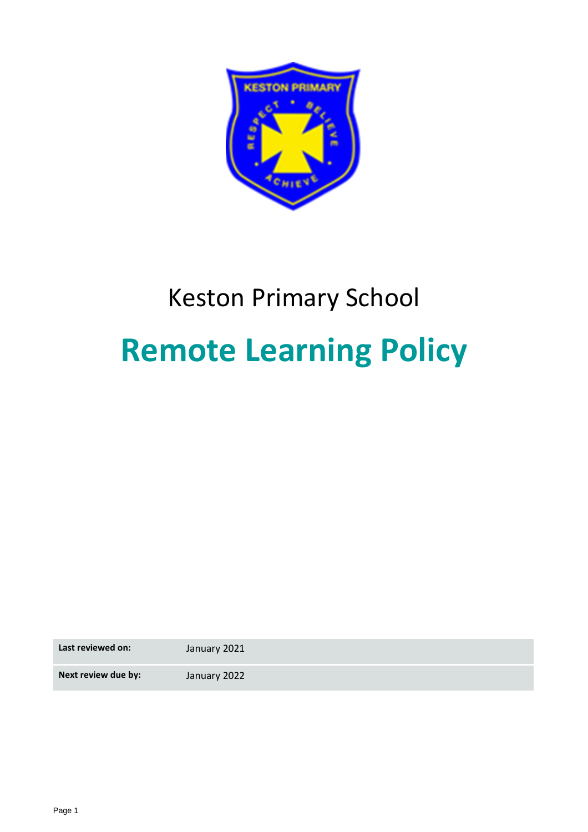

# Keston Primary School **Remote Learning Policy**

**Last reviewed on:** January 2021

**Next review due by:** January 2022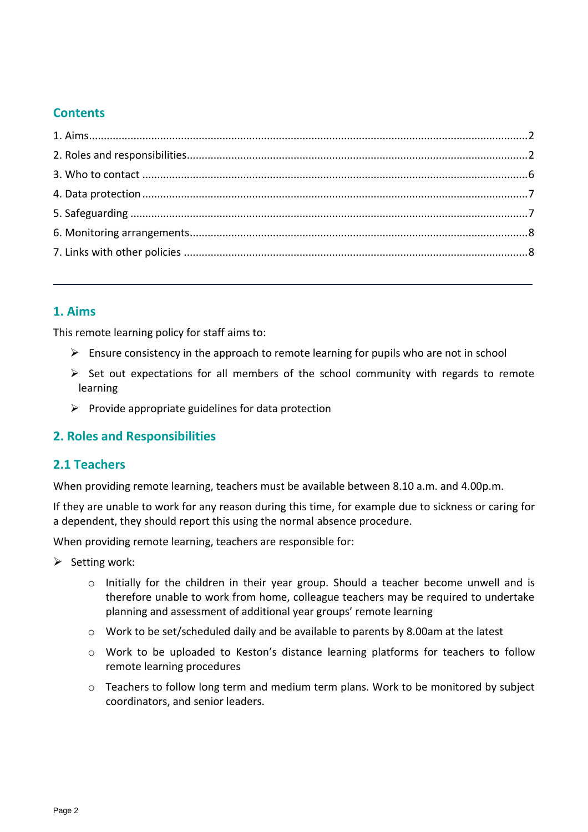# **Contents**

# <span id="page-1-0"></span>**1. Aims**

This remote learning policy for staff aims to:

- $\triangleright$  Ensure consistency in the approach to remote learning for pupils who are not in school
- $\triangleright$  Set out expectations for all members of the school community with regards to remote learning
- $\triangleright$  Provide appropriate guidelines for data protection

### <span id="page-1-1"></span>**2. Roles and Responsibilities**

### **2.1 Teachers**

When providing remote learning, teachers must be available between 8.10 a.m. and 4.00p.m.

If they are unable to work for any reason during this time, for example due to sickness or caring for a dependent, they should report this using the normal absence procedure.

When providing remote learning, teachers are responsible for:

- $\triangleright$  Setting work:
	- o Initially for the children in their year group. Should a teacher become unwell and is therefore unable to work from home, colleague teachers may be required to undertake planning and assessment of additional year groups' remote learning
	- o Work to be set/scheduled daily and be available to parents by 8.00am at the latest
	- o Work to be uploaded to Keston's distance learning platforms for teachers to follow remote learning procedures
	- $\circ$  Teachers to follow long term and medium term plans. Work to be monitored by subject coordinators, and senior leaders.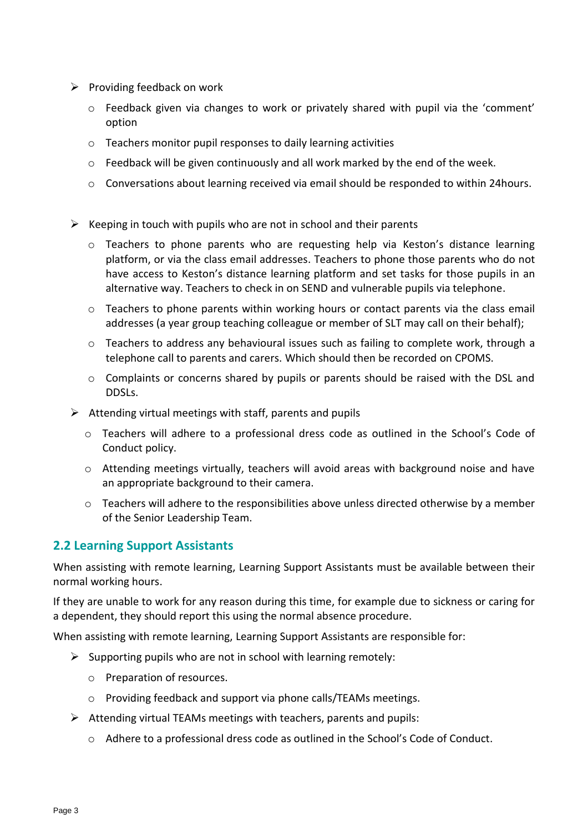- $\triangleright$  Providing feedback on work
	- o Feedback given via changes to work or privately shared with pupil via the 'comment' option
	- o Teachers monitor pupil responses to daily learning activities
	- $\circ$  Feedback will be given continuously and all work marked by the end of the week.
	- o Conversations about learning received via email should be responded to within 24hours.
- $\triangleright$  Keeping in touch with pupils who are not in school and their parents
	- $\circ$  Teachers to phone parents who are requesting help via Keston's distance learning platform, or via the class email addresses. Teachers to phone those parents who do not have access to Keston's distance learning platform and set tasks for those pupils in an alternative way. Teachers to check in on SEND and vulnerable pupils via telephone.
	- o Teachers to phone parents within working hours or contact parents via the class email addresses (a year group teaching colleague or member of SLT may call on their behalf);
	- o Teachers to address any behavioural issues such as failing to complete work, through a telephone call to parents and carers. Which should then be recorded on CPOMS.
	- o Complaints or concerns shared by pupils or parents should be raised with the DSL and DDSLs.
- $\triangleright$  Attending virtual meetings with staff, parents and pupils
	- $\circ$  Teachers will adhere to a professional dress code as outlined in the School's Code of Conduct policy.
	- o Attending meetings virtually, teachers will avoid areas with background noise and have an appropriate background to their camera.
	- $\circ$  Teachers will adhere to the responsibilities above unless directed otherwise by a member of the Senior Leadership Team.

# **2.2 Learning Support Assistants**

When assisting with remote learning, Learning Support Assistants must be available between their normal working hours.

If they are unable to work for any reason during this time, for example due to sickness or caring for a dependent, they should report this using the normal absence procedure.

When assisting with remote learning, Learning Support Assistants are responsible for:

- $\triangleright$  Supporting pupils who are not in school with learning remotely:
	- o Preparation of resources.
	- o Providing feedback and support via phone calls/TEAMs meetings.
- $\triangleright$  Attending virtual TEAMs meetings with teachers, parents and pupils:
	- $\circ$  Adhere to a professional dress code as outlined in the School's Code of Conduct.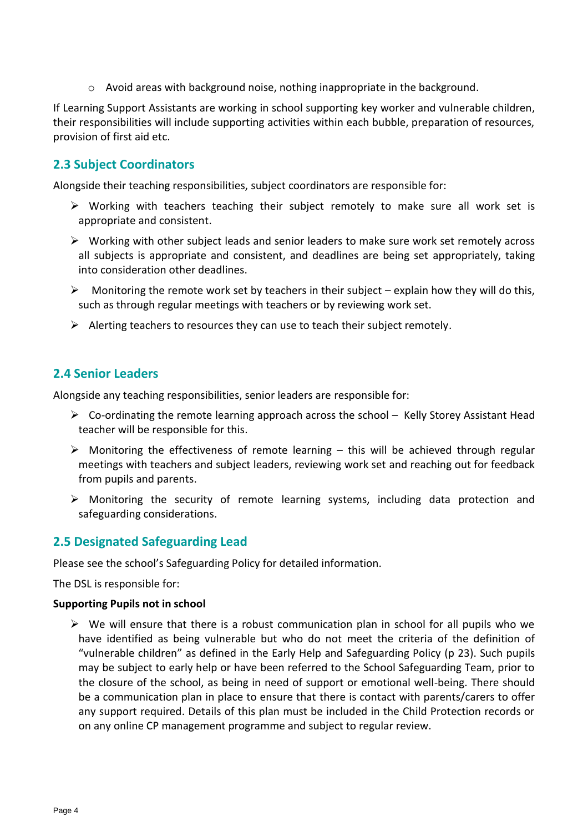$\circ$  Avoid areas with background noise, nothing inappropriate in the background.

If Learning Support Assistants are working in school supporting key worker and vulnerable children, their responsibilities will include supporting activities within each bubble, preparation of resources, provision of first aid etc.

# **2.3 Subject Coordinators**

Alongside their teaching responsibilities, subject coordinators are responsible for:

- ➢ Working with teachers teaching their subject remotely to make sure all work set is appropriate and consistent.
- $\triangleright$  Working with other subject leads and senior leaders to make sure work set remotely across all subjects is appropriate and consistent, and deadlines are being set appropriately, taking into consideration other deadlines.
- $\triangleright$  Monitoring the remote work set by teachers in their subject explain how they will do this, such as through regular meetings with teachers or by reviewing work set.
- $\triangleright$  Alerting teachers to resources they can use to teach their subject remotely.

# **2.4 Senior Leaders**

Alongside any teaching responsibilities, senior leaders are responsible for:

- $\triangleright$  Co-ordinating the remote learning approach across the school Kelly Storey Assistant Head teacher will be responsible for this.
- $\triangleright$  Monitoring the effectiveness of remote learning this will be achieved through regular meetings with teachers and subject leaders, reviewing work set and reaching out for feedback from pupils and parents.
- $\triangleright$  Monitoring the security of remote learning systems, including data protection and safeguarding considerations.

### **2.5 Designated Safeguarding Lead**

Please see the school's Safeguarding Policy for detailed information.

The DSL is responsible for:

#### **Supporting Pupils not in school**

 $\triangleright$  We will ensure that there is a robust communication plan in school for all pupils who we have identified as being vulnerable but who do not meet the criteria of the definition of "vulnerable children" as defined in the Early Help and Safeguarding Policy (p 23). Such pupils may be subject to early help or have been referred to the School Safeguarding Team, prior to the closure of the school, as being in need of support or emotional well-being. There should be a communication plan in place to ensure that there is contact with parents/carers to offer any support required. Details of this plan must be included in the Child Protection records or on any online CP management programme and subject to regular review.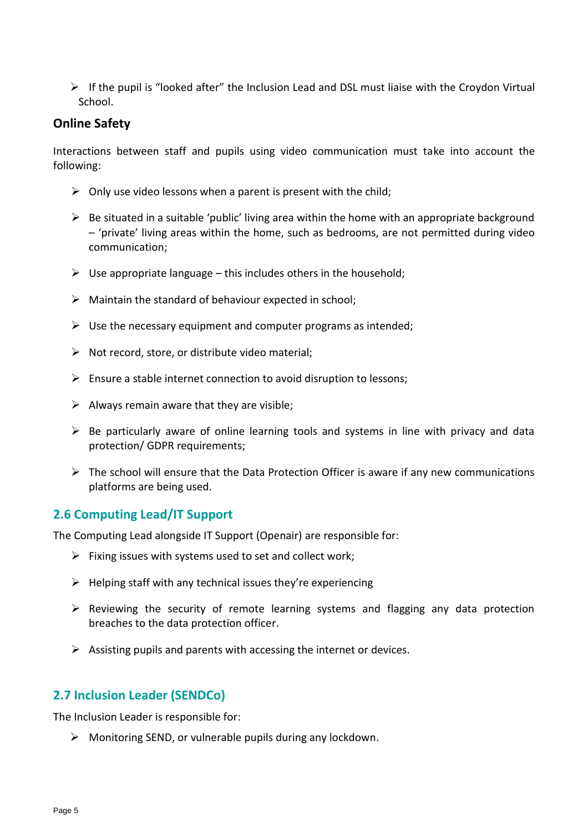$\triangleright$  If the pupil is "looked after" the Inclusion Lead and DSL must liaise with the Croydon Virtual School.

### **Online Safety**

Interactions between staff and pupils using video communication must take into account the following:

- $\triangleright$  Only use video lessons when a parent is present with the child;
- $\triangleright$  Be situated in a suitable 'public' living area within the home with an appropriate background – 'private' living areas within the home, such as bedrooms, are not permitted during video communication;
- $\triangleright$  Use appropriate language this includes others in the household;
- $\triangleright$  Maintain the standard of behaviour expected in school;
- $\triangleright$  Use the necessary equipment and computer programs as intended;
- $\triangleright$  Not record, store, or distribute video material;
- $\triangleright$  Ensure a stable internet connection to avoid disruption to lessons;
- $\triangleright$  Always remain aware that they are visible;
- $\triangleright$  Be particularly aware of online learning tools and systems in line with privacy and data protection/ GDPR requirements;
- $\triangleright$  The school will ensure that the Data Protection Officer is aware if any new communications platforms are being used.

### **2.6 Computing Lead/IT Support**

The Computing Lead alongside IT Support (Openair) are responsible for:

- $\triangleright$  Fixing issues with systems used to set and collect work;
- $\triangleright$  Helping staff with any technical issues they're experiencing
- ➢ Reviewing the security of remote learning systems and flagging any data protection breaches to the data protection officer.
- $\triangleright$  Assisting pupils and parents with accessing the internet or devices.

### **2.7 Inclusion Leader (SENDCo)**

The Inclusion Leader is responsible for:

 $\triangleright$  Monitoring SEND, or vulnerable pupils during any lockdown.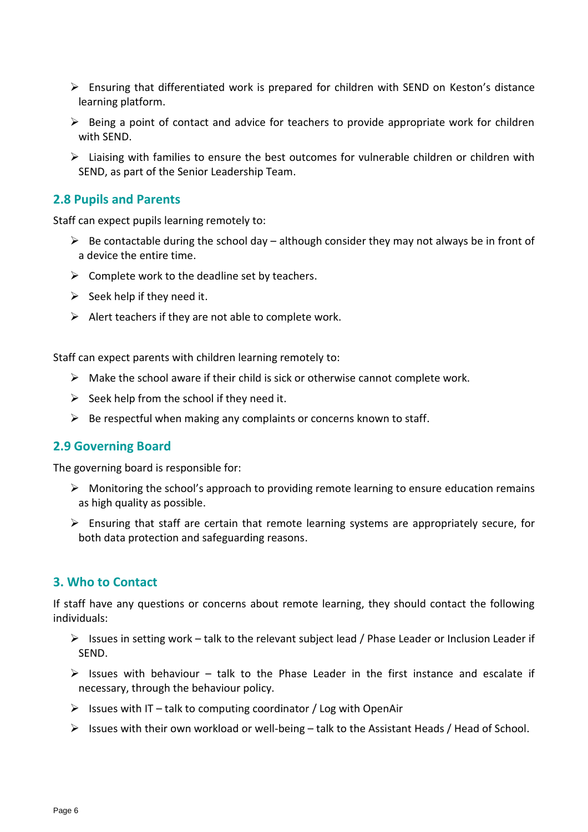- $\triangleright$  Ensuring that differentiated work is prepared for children with SEND on Keston's distance learning platform.
- $\triangleright$  Being a point of contact and advice for teachers to provide appropriate work for children with SEND.
- $\triangleright$  Liaising with families to ensure the best outcomes for vulnerable children or children with SEND, as part of the Senior Leadership Team.

#### **2.8 Pupils and Parents**

Staff can expect pupils learning remotely to:

- $\triangleright$  Be contactable during the school day although consider they may not always be in front of a device the entire time.
- $\triangleright$  Complete work to the deadline set by teachers.
- $\triangleright$  Seek help if they need it.
- $\triangleright$  Alert teachers if they are not able to complete work.

Staff can expect parents with children learning remotely to:

- $\triangleright$  Make the school aware if their child is sick or otherwise cannot complete work.
- $\triangleright$  Seek help from the school if they need it.
- $\triangleright$  Be respectful when making any complaints or concerns known to staff.

#### **2.9 Governing Board**

The governing board is responsible for:

- $\triangleright$  Monitoring the school's approach to providing remote learning to ensure education remains as high quality as possible.
- $\triangleright$  Ensuring that staff are certain that remote learning systems are appropriately secure, for both data protection and safeguarding reasons.

#### <span id="page-5-0"></span>**3. Who to Contact**

If staff have any questions or concerns about remote learning, they should contact the following individuals:

- ➢ Issues in setting work talk to the relevant subject lead / Phase Leader or Inclusion Leader if SEND.
- $\triangleright$  Issues with behaviour talk to the Phase Leader in the first instance and escalate if necessary, through the behaviour policy.
- $\triangleright$  Issues with IT talk to computing coordinator / Log with OpenAir
- ➢ Issues with their own workload or well-being talk to the Assistant Heads / Head of School.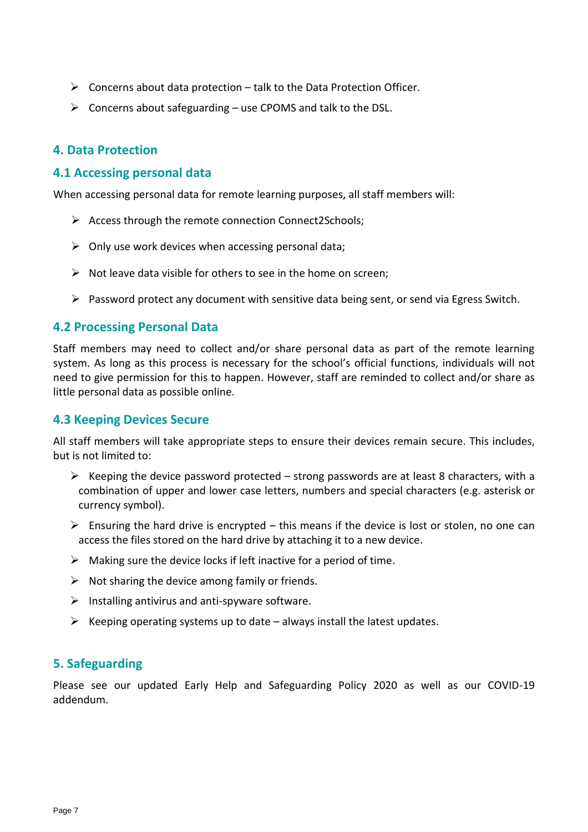- $\triangleright$  Concerns about data protection talk to the Data Protection Officer.
- $\triangleright$  Concerns about safeguarding use CPOMS and talk to the DSL.

#### <span id="page-6-0"></span>**4. Data Protection**

#### **4.1 Accessing personal data**

When accessing personal data for remote learning purposes, all staff members will:

- ➢ Access through the remote connection Connect2Schools;
- $\triangleright$  Only use work devices when accessing personal data;
- $\triangleright$  Not leave data visible for others to see in the home on screen;
- ➢ Password protect any document with sensitive data being sent, or send via Egress Switch.

#### **4.2 Processing Personal Data**

Staff members may need to collect and/or share personal data as part of the remote learning system. As long as this process is necessary for the school's official functions, individuals will not need to give permission for this to happen. However, staff are reminded to collect and/or share as little personal data as possible online.

#### **4.3 Keeping Devices Secure**

All staff members will take appropriate steps to ensure their devices remain secure. This includes, but is not limited to:

- $\triangleright$  Keeping the device password protected strong passwords are at least 8 characters, with a combination of upper and lower case letters, numbers and special characters (e.g. asterisk or currency symbol).
- $\triangleright$  Ensuring the hard drive is encrypted this means if the device is lost or stolen, no one can access the files stored on the hard drive by attaching it to a new device.
- $\triangleright$  Making sure the device locks if left inactive for a period of time.
- $\triangleright$  Not sharing the device among family or friends.
- $\triangleright$  Installing antivirus and anti-spyware software.
- $\triangleright$  Keeping operating systems up to date always install the latest updates.

### <span id="page-6-1"></span>**5. Safeguarding**

Please see our updated Early Help and Safeguarding Policy 2020 as well as our COVID-19 addendum.